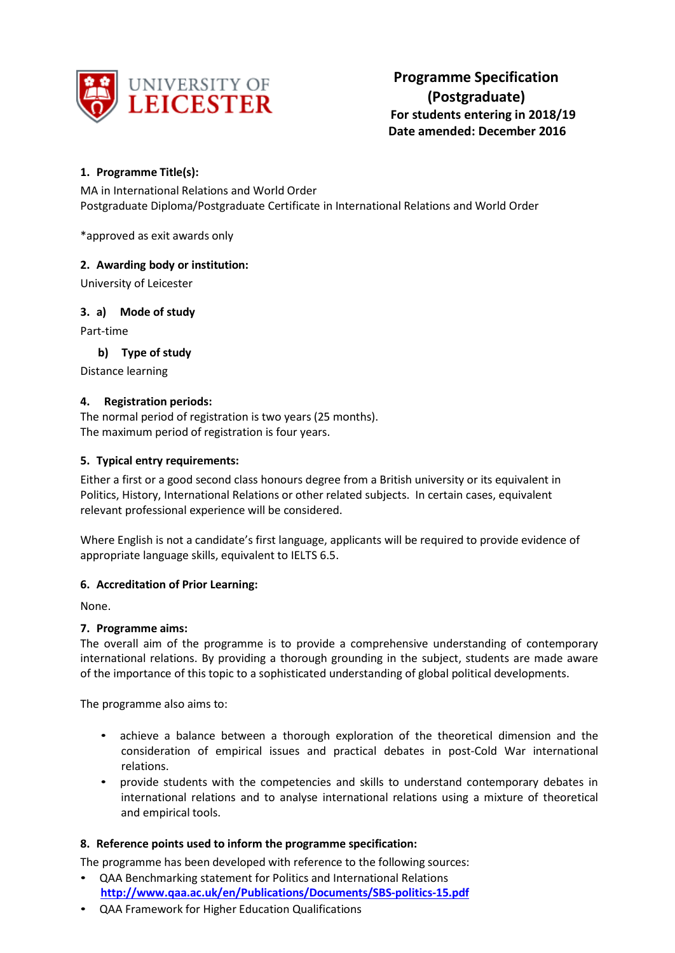

# **1. Programme Title(s):**

MA in International Relations and World Order Postgraduate Diploma/Postgraduate Certificate in International Relations and World Order

\*approved as exit awards only

## **2. Awarding body or institution:**

University of Leicester

## **3. a) Mode of study**

Part-time

# **b) Type of study**

Distance learning

## **4. Registration periods:**

The normal period of registration is two years (25 months). The maximum period of registration is four years.

## **5. Typical entry requirements:**

Either a first or a good second class honours degree from a British university or its equivalent in Politics, History, International Relations or other related subjects. In certain cases, equivalent relevant professional experience will be considered.

Where English is not a candidate's first language, applicants will be required to provide evidence of appropriate language skills, equivalent to IELTS 6.5.

#### **6. Accreditation of Prior Learning:**

None.

#### **7. Programme aims:**

The overall aim of the programme is to provide a comprehensive understanding of contemporary international relations. By providing a thorough grounding in the subject, students are made aware of the importance of this topic to a sophisticated understanding of global political developments.

The programme also aims to:

- achieve a balance between a thorough exploration of the theoretical dimension and the consideration of empirical issues and practical debates in post-Cold War international relations.
- provide students with the competencies and skills to understand contemporary debates in international relations and to analyse international relations using a mixture of theoretical and empirical tools.

# **8. Reference points used to inform the programme specification:**

The programme has been developed with reference to the following sources:

- QAA Benchmarking statement for Politics and International Relations **<http://www.qaa.ac.uk/en/Publications/Documents/SBS-politics-15.pdf>**
- QAA Framework for Higher Education Qualifications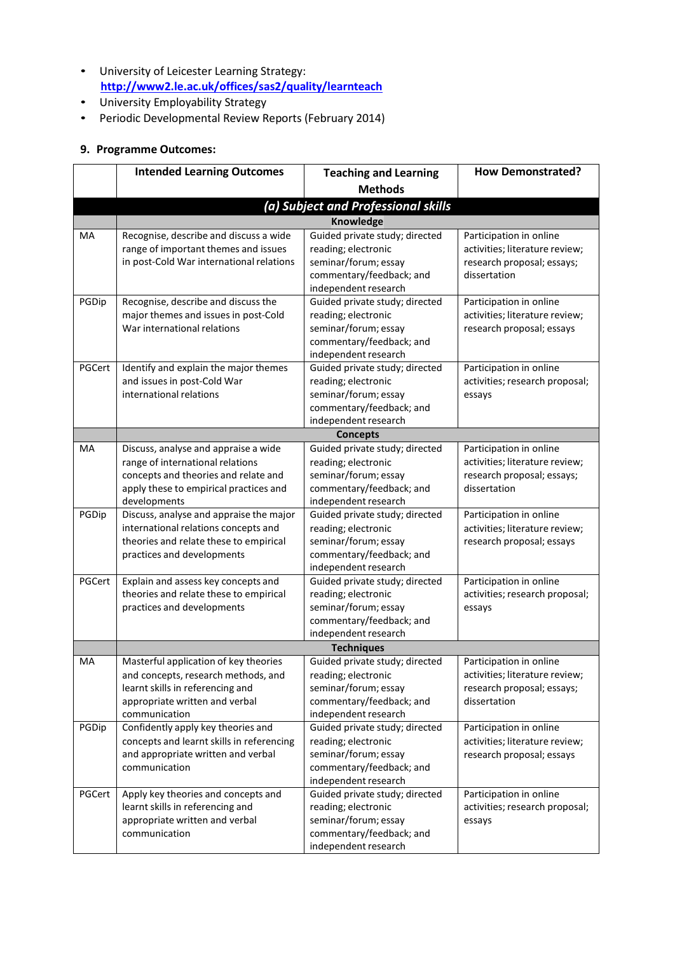- University of Leicester Learning Strategy: **<http://www2.le.ac.uk/offices/sas2/quality/learnteach>**
- University Employability Strategy
- Periodic Developmental Review Reports (February 2014)

# **9. Programme Outcomes:**

|        | <b>Intended Learning Outcomes</b>                   | <b>Teaching and Learning</b>                           | <b>How Demonstrated?</b>       |
|--------|-----------------------------------------------------|--------------------------------------------------------|--------------------------------|
|        |                                                     | <b>Methods</b>                                         |                                |
|        |                                                     | (a) Subject and Professional skills                    |                                |
|        |                                                     | Knowledge                                              |                                |
| MA     | Recognise, describe and discuss a wide              | Guided private study; directed                         | Participation in online        |
|        | range of important themes and issues                | reading; electronic                                    | activities; literature review; |
|        | in post-Cold War international relations            | seminar/forum; essay                                   | research proposal; essays;     |
|        |                                                     | commentary/feedback; and                               | dissertation                   |
|        |                                                     | independent research                                   |                                |
| PGDip  | Recognise, describe and discuss the                 | Guided private study; directed                         | Participation in online        |
|        | major themes and issues in post-Cold                | reading; electronic                                    | activities; literature review; |
|        | War international relations                         | seminar/forum; essay                                   | research proposal; essays      |
|        |                                                     | commentary/feedback; and                               |                                |
|        |                                                     | independent research                                   |                                |
| PGCert | Identify and explain the major themes               | Guided private study; directed                         | Participation in online        |
|        | and issues in post-Cold War                         | reading; electronic<br>seminar/forum; essay            | activities; research proposal; |
|        | international relations                             | commentary/feedback; and                               | essays                         |
|        |                                                     | independent research                                   |                                |
|        |                                                     | <b>Concepts</b>                                        |                                |
| MA     | Discuss, analyse and appraise a wide                | Guided private study; directed                         | Participation in online        |
|        | range of international relations                    | reading; electronic                                    | activities; literature review; |
|        | concepts and theories and relate and                | seminar/forum; essay                                   | research proposal; essays;     |
|        | apply these to empirical practices and              | commentary/feedback; and                               | dissertation                   |
|        | developments                                        | independent research                                   |                                |
| PGDip  | Discuss, analyse and appraise the major             | Guided private study; directed                         | Participation in online        |
|        | international relations concepts and                | reading; electronic                                    | activities; literature review; |
|        | theories and relate these to empirical              | seminar/forum; essay                                   | research proposal; essays      |
|        | practices and developments                          | commentary/feedback; and                               |                                |
| PGCert | Explain and assess key concepts and                 | independent research<br>Guided private study; directed | Participation in online        |
|        | theories and relate these to empirical              | reading; electronic                                    | activities; research proposal; |
|        | practices and developments                          | seminar/forum; essay                                   | essays                         |
|        |                                                     | commentary/feedback; and                               |                                |
|        |                                                     | independent research                                   |                                |
|        |                                                     | <b>Techniques</b>                                      |                                |
| МA     | Masterful application of key theories               | Guided private study; directed                         | Participation in online        |
|        | and concepts, research methods, and                 | reading; electronic                                    | activities; literature review; |
|        | learnt skills in referencing and                    | seminar/forum; essay                                   | research proposal; essays;     |
|        | appropriate written and verbal                      | commentary/feedback; and                               | dissertation                   |
|        | communication                                       | independent research                                   |                                |
| PGDip  | Confidently apply key theories and                  | Guided private study; directed                         | Participation in online        |
|        | concepts and learnt skills in referencing           | reading; electronic                                    | activities; literature review; |
|        | and appropriate written and verbal<br>communication | seminar/forum; essay                                   | research proposal; essays      |
|        |                                                     | commentary/feedback; and                               |                                |
| PGCert | Apply key theories and concepts and                 | independent research<br>Guided private study; directed | Participation in online        |
|        | learnt skills in referencing and                    | reading; electronic                                    | activities; research proposal; |
|        | appropriate written and verbal                      | seminar/forum; essay                                   | essays                         |
|        | communication                                       | commentary/feedback; and                               |                                |
|        |                                                     | independent research                                   |                                |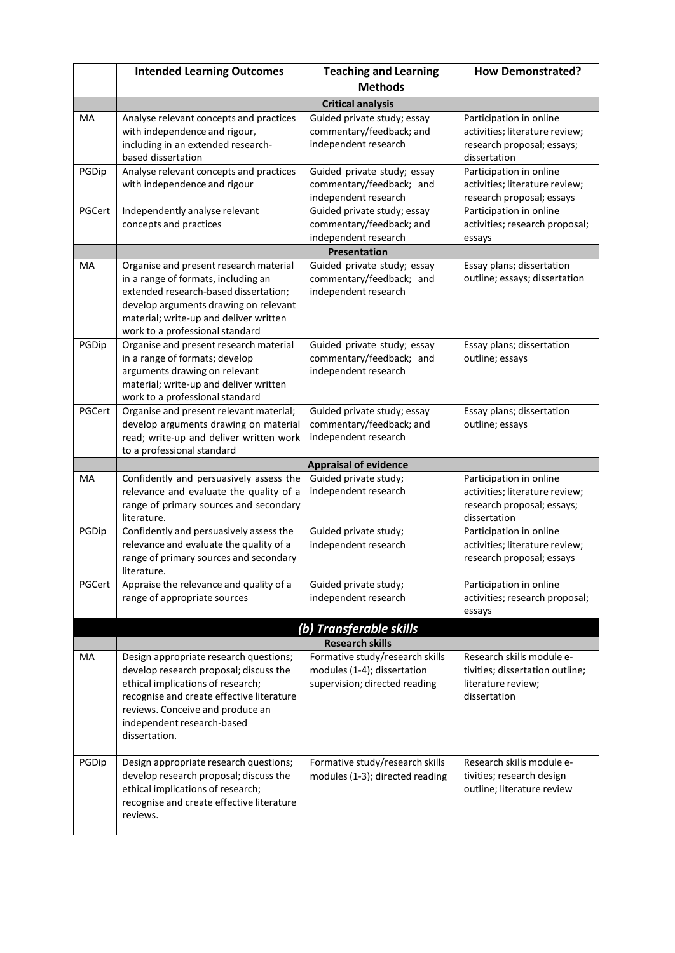|        | <b>Intended Learning Outcomes</b>                                                                  | <b>Teaching and Learning</b>                                       | <b>How Demonstrated?</b>                                     |  |  |
|--------|----------------------------------------------------------------------------------------------------|--------------------------------------------------------------------|--------------------------------------------------------------|--|--|
|        |                                                                                                    | <b>Methods</b>                                                     |                                                              |  |  |
|        | <b>Critical analysis</b>                                                                           |                                                                    |                                                              |  |  |
| MA     | Analyse relevant concepts and practices                                                            | Guided private study; essay                                        | Participation in online                                      |  |  |
|        | with independence and rigour,                                                                      | commentary/feedback; and                                           | activities; literature review;                               |  |  |
|        | including in an extended research-<br>based dissertation                                           | independent research                                               | research proposal; essays;<br>dissertation                   |  |  |
| PGDip  | Analyse relevant concepts and practices                                                            | Guided private study; essay                                        | Participation in online                                      |  |  |
|        | with independence and rigour                                                                       | commentary/feedback; and                                           | activities; literature review;                               |  |  |
|        |                                                                                                    | independent research                                               | research proposal; essays                                    |  |  |
| PGCert | Independently analyse relevant                                                                     | Guided private study; essay                                        | Participation in online                                      |  |  |
|        | concepts and practices                                                                             | commentary/feedback; and<br>independent research                   | activities; research proposal;                               |  |  |
|        |                                                                                                    | <b>Presentation</b>                                                | essays                                                       |  |  |
| MA     | Guided private study; essay<br>Organise and present research material<br>Essay plans; dissertation |                                                                    |                                                              |  |  |
|        | in a range of formats, including an                                                                | commentary/feedback; and                                           | outline; essays; dissertation                                |  |  |
|        | extended research-based dissertation;                                                              | independent research                                               |                                                              |  |  |
|        | develop arguments drawing on relevant                                                              |                                                                    |                                                              |  |  |
|        | material; write-up and deliver written<br>work to a professional standard                          |                                                                    |                                                              |  |  |
| PGDip  | Organise and present research material                                                             | Guided private study; essay                                        | Essay plans; dissertation                                    |  |  |
|        | in a range of formats; develop                                                                     | commentary/feedback; and                                           | outline; essays                                              |  |  |
|        | arguments drawing on relevant                                                                      | independent research                                               |                                                              |  |  |
|        | material; write-up and deliver written                                                             |                                                                    |                                                              |  |  |
| PGCert | work to a professional standard<br>Organise and present relevant material;                         | Guided private study; essay                                        | Essay plans; dissertation                                    |  |  |
|        | develop arguments drawing on material                                                              | commentary/feedback; and                                           | outline; essays                                              |  |  |
|        | read; write-up and deliver written work                                                            | independent research                                               |                                                              |  |  |
|        | to a professional standard                                                                         |                                                                    |                                                              |  |  |
|        |                                                                                                    | <b>Appraisal of evidence</b>                                       |                                                              |  |  |
| MA     | Confidently and persuasively assess the                                                            | Guided private study;<br>independent research                      | Participation in online                                      |  |  |
|        | relevance and evaluate the quality of a<br>range of primary sources and secondary                  |                                                                    | activities; literature review;<br>research proposal; essays; |  |  |
|        | literature.                                                                                        |                                                                    | dissertation                                                 |  |  |
| PGDip  | Confidently and persuasively assess the                                                            | Guided private study;                                              | Participation in online                                      |  |  |
|        | relevance and evaluate the quality of a                                                            | independent research                                               | activities; literature review;                               |  |  |
|        | range of primary sources and secondary                                                             |                                                                    | research proposal; essays                                    |  |  |
| PGCert | literature.<br>Appraise the relevance and quality of a                                             | Guided private study;                                              | Participation in online                                      |  |  |
|        | range of appropriate sources                                                                       | independent research                                               | activities; research proposal;                               |  |  |
|        |                                                                                                    |                                                                    | essays                                                       |  |  |
|        |                                                                                                    | (b) Transferable skills                                            |                                                              |  |  |
|        |                                                                                                    | <b>Research skills</b>                                             |                                                              |  |  |
| MA     | Design appropriate research questions;                                                             | Formative study/research skills                                    | Research skills module e-                                    |  |  |
|        | develop research proposal; discuss the                                                             | modules (1-4); dissertation                                        | tivities; dissertation outline;                              |  |  |
|        | ethical implications of research;<br>recognise and create effective literature                     | supervision; directed reading                                      | literature review;<br>dissertation                           |  |  |
|        | reviews. Conceive and produce an                                                                   |                                                                    |                                                              |  |  |
|        | independent research-based                                                                         |                                                                    |                                                              |  |  |
|        | dissertation.                                                                                      |                                                                    |                                                              |  |  |
|        |                                                                                                    |                                                                    |                                                              |  |  |
| PGDip  | Design appropriate research questions;<br>develop research proposal; discuss the                   | Formative study/research skills<br>modules (1-3); directed reading | Research skills module e-                                    |  |  |
|        | ethical implications of research;                                                                  |                                                                    | tivities; research design<br>outline; literature review      |  |  |
|        | recognise and create effective literature                                                          |                                                                    |                                                              |  |  |
|        | reviews.                                                                                           |                                                                    |                                                              |  |  |
|        |                                                                                                    |                                                                    |                                                              |  |  |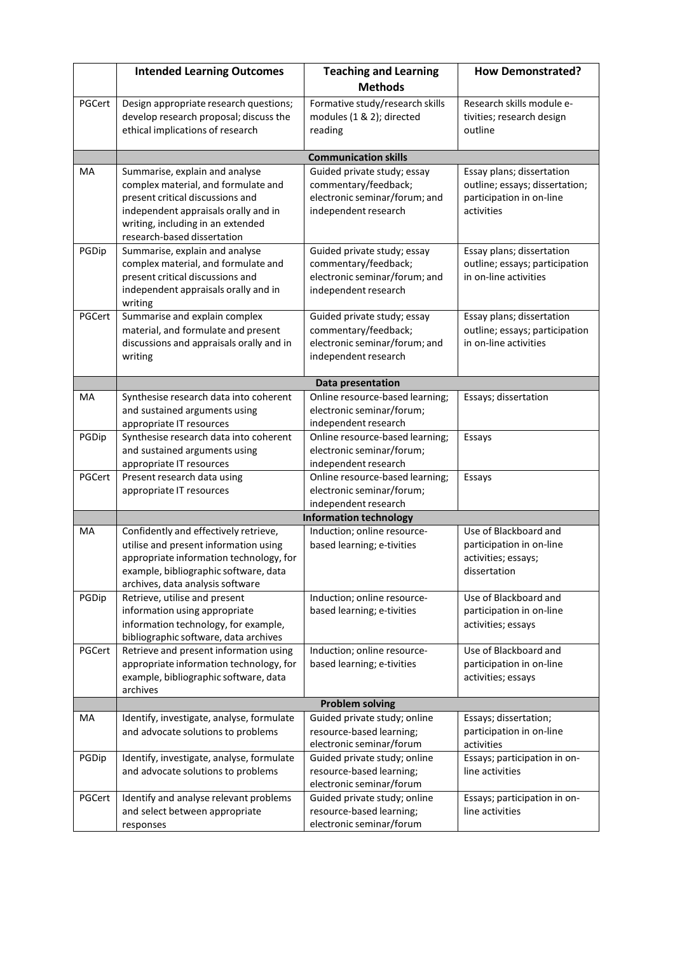|        | <b>Intended Learning Outcomes</b>                                         | <b>Teaching and Learning</b>                                 | <b>How Demonstrated?</b>                                    |
|--------|---------------------------------------------------------------------------|--------------------------------------------------------------|-------------------------------------------------------------|
|        |                                                                           | <b>Methods</b>                                               |                                                             |
| PGCert | Design appropriate research questions;                                    | Formative study/research skills                              | Research skills module e-                                   |
|        | develop research proposal; discuss the                                    | modules (1 & 2); directed                                    | tivities; research design                                   |
|        | ethical implications of research                                          | reading                                                      | outline                                                     |
|        |                                                                           |                                                              |                                                             |
|        |                                                                           | <b>Communication skills</b>                                  |                                                             |
| MA     | Summarise, explain and analyse<br>complex material, and formulate and     | Guided private study; essay<br>commentary/feedback;          | Essay plans; dissertation<br>outline; essays; dissertation; |
|        | present critical discussions and                                          | electronic seminar/forum; and                                | participation in on-line                                    |
|        | independent appraisals orally and in                                      | independent research                                         | activities                                                  |
|        | writing, including in an extended                                         |                                                              |                                                             |
|        | research-based dissertation                                               |                                                              |                                                             |
| PGDip  | Summarise, explain and analyse                                            | Guided private study; essay                                  | Essay plans; dissertation                                   |
|        | complex material, and formulate and<br>present critical discussions and   | commentary/feedback;<br>electronic seminar/forum; and        | outline; essays; participation<br>in on-line activities     |
|        | independent appraisals orally and in                                      | independent research                                         |                                                             |
|        | writing                                                                   |                                                              |                                                             |
| PGCert | Summarise and explain complex                                             | Guided private study; essay                                  | Essay plans; dissertation                                   |
|        | material, and formulate and present                                       | commentary/feedback;                                         | outline; essays; participation                              |
|        | discussions and appraisals orally and in                                  | electronic seminar/forum; and                                | in on-line activities                                       |
|        | writing                                                                   | independent research                                         |                                                             |
|        |                                                                           | Data presentation                                            |                                                             |
| MA     | Synthesise research data into coherent                                    | Online resource-based learning;                              | Essays; dissertation                                        |
|        | and sustained arguments using                                             | electronic seminar/forum;                                    |                                                             |
|        | appropriate IT resources                                                  | independent research                                         |                                                             |
| PGDip  | Synthesise research data into coherent<br>and sustained arguments using   | Online resource-based learning;<br>electronic seminar/forum; | Essays                                                      |
|        | appropriate IT resources                                                  | independent research                                         |                                                             |
| PGCert | Present research data using                                               | Online resource-based learning;                              | Essays                                                      |
|        | appropriate IT resources                                                  | electronic seminar/forum;                                    |                                                             |
|        |                                                                           | independent research                                         |                                                             |
|        |                                                                           | <b>Information technology</b>                                |                                                             |
| MA     | Confidently and effectively retrieve,                                     | Induction; online resource-                                  | Use of Blackboard and                                       |
|        | utilise and present information using                                     | based learning; e-tivities                                   | participation in on-line                                    |
|        | appropriate information technology, for                                   |                                                              | activities; essays;<br>dissertation                         |
|        | example, bibliographic software, data<br>archives, data analysis software |                                                              |                                                             |
| PGDip  | Retrieve, utilise and present                                             | Induction; online resource-                                  | Use of Blackboard and                                       |
|        | information using appropriate                                             | based learning; e-tivities                                   | participation in on-line                                    |
|        | information technology, for example,                                      |                                                              | activities; essays                                          |
|        | bibliographic software, data archives                                     |                                                              |                                                             |
| PGCert | Retrieve and present information using                                    | Induction; online resource-                                  | Use of Blackboard and                                       |
|        | appropriate information technology, for                                   | based learning; e-tivities                                   | participation in on-line                                    |
|        | example, bibliographic software, data<br>archives                         |                                                              | activities; essays                                          |
|        |                                                                           | <b>Problem solving</b>                                       |                                                             |
| MA     | Identify, investigate, analyse, formulate                                 | Guided private study; online                                 | Essays; dissertation;                                       |
|        | and advocate solutions to problems                                        | resource-based learning;                                     | participation in on-line                                    |
|        |                                                                           | electronic seminar/forum                                     | activities                                                  |
| PGDip  | Identify, investigate, analyse, formulate                                 | Guided private study; online                                 | Essays; participation in on-                                |
|        | and advocate solutions to problems                                        | resource-based learning;                                     | line activities                                             |
|        |                                                                           | electronic seminar/forum                                     |                                                             |
| PGCert | Identify and analyse relevant problems<br>and select between appropriate  | Guided private study; online<br>resource-based learning;     | Essays; participation in on-<br>line activities             |
|        | responses                                                                 | electronic seminar/forum                                     |                                                             |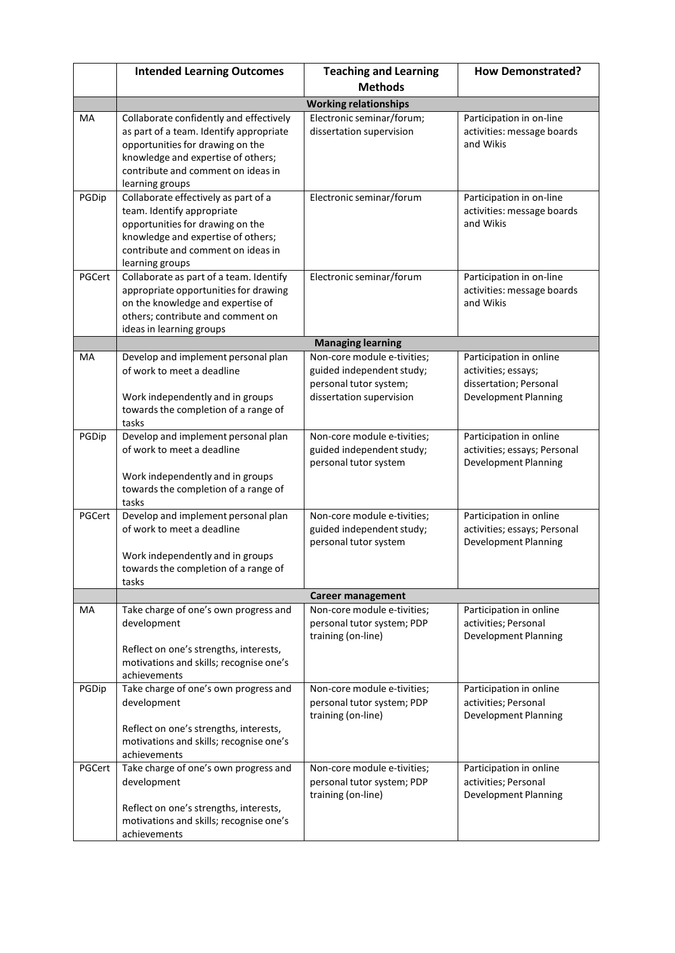|        | <b>Intended Learning Outcomes</b>                                                                                                                                                                                     | <b>Teaching and Learning</b>                                                                                   | <b>How Demonstrated?</b>                                                                                |  |  |  |
|--------|-----------------------------------------------------------------------------------------------------------------------------------------------------------------------------------------------------------------------|----------------------------------------------------------------------------------------------------------------|---------------------------------------------------------------------------------------------------------|--|--|--|
|        |                                                                                                                                                                                                                       | <b>Methods</b>                                                                                                 |                                                                                                         |  |  |  |
|        |                                                                                                                                                                                                                       | <b>Working relationships</b>                                                                                   |                                                                                                         |  |  |  |
| MA     | Collaborate confidently and effectively<br>as part of a team. Identify appropriate<br>opportunities for drawing on the<br>knowledge and expertise of others;<br>contribute and comment on ideas in<br>learning groups | Electronic seminar/forum;<br>dissertation supervision                                                          | Participation in on-line<br>activities: message boards<br>and Wikis                                     |  |  |  |
| PGDip  | Collaborate effectively as part of a<br>team. Identify appropriate<br>opportunities for drawing on the<br>knowledge and expertise of others;<br>contribute and comment on ideas in<br>learning groups                 | Electronic seminar/forum                                                                                       | Participation in on-line<br>activities: message boards<br>and Wikis                                     |  |  |  |
| PGCert | Collaborate as part of a team. Identify<br>appropriate opportunities for drawing<br>on the knowledge and expertise of<br>others; contribute and comment on<br>ideas in learning groups                                | Electronic seminar/forum                                                                                       | Participation in on-line<br>activities: message boards<br>and Wikis                                     |  |  |  |
|        |                                                                                                                                                                                                                       | <b>Managing learning</b>                                                                                       |                                                                                                         |  |  |  |
| MA     | Develop and implement personal plan<br>of work to meet a deadline<br>Work independently and in groups<br>towards the completion of a range of<br>tasks                                                                | Non-core module e-tivities;<br>guided independent study;<br>personal tutor system;<br>dissertation supervision | Participation in online<br>activities; essays;<br>dissertation; Personal<br><b>Development Planning</b> |  |  |  |
| PGDip  | Develop and implement personal plan<br>of work to meet a deadline<br>Work independently and in groups<br>towards the completion of a range of<br>tasks                                                                | Non-core module e-tivities;<br>guided independent study;<br>personal tutor system                              | Participation in online<br>activities; essays; Personal<br><b>Development Planning</b>                  |  |  |  |
| PGCert | Develop and implement personal plan<br>of work to meet a deadline<br>Work independently and in groups<br>towards the completion of a range of<br>tasks                                                                | Non-core module e-tivities;<br>guided independent study;<br>personal tutor system                              | Participation in online<br>activities; essays; Personal<br><b>Development Planning</b>                  |  |  |  |
|        |                                                                                                                                                                                                                       | <b>Career management</b>                                                                                       |                                                                                                         |  |  |  |
| MA     | Take charge of one's own progress and<br>development<br>Reflect on one's strengths, interests,<br>motivations and skills; recognise one's<br>achievements                                                             | Non-core module e-tivities;<br>personal tutor system; PDP<br>training (on-line)                                | Participation in online<br>activities; Personal<br><b>Development Planning</b>                          |  |  |  |
| PGDip  | Take charge of one's own progress and<br>development<br>Reflect on one's strengths, interests,<br>motivations and skills; recognise one's<br>achievements                                                             | Non-core module e-tivities;<br>personal tutor system; PDP<br>training (on-line)                                | Participation in online<br>activities; Personal<br><b>Development Planning</b>                          |  |  |  |
| PGCert | Take charge of one's own progress and<br>development<br>Reflect on one's strengths, interests,<br>motivations and skills; recognise one's<br>achievements                                                             | Non-core module e-tivities;<br>personal tutor system; PDP<br>training (on-line)                                | Participation in online<br>activities; Personal<br><b>Development Planning</b>                          |  |  |  |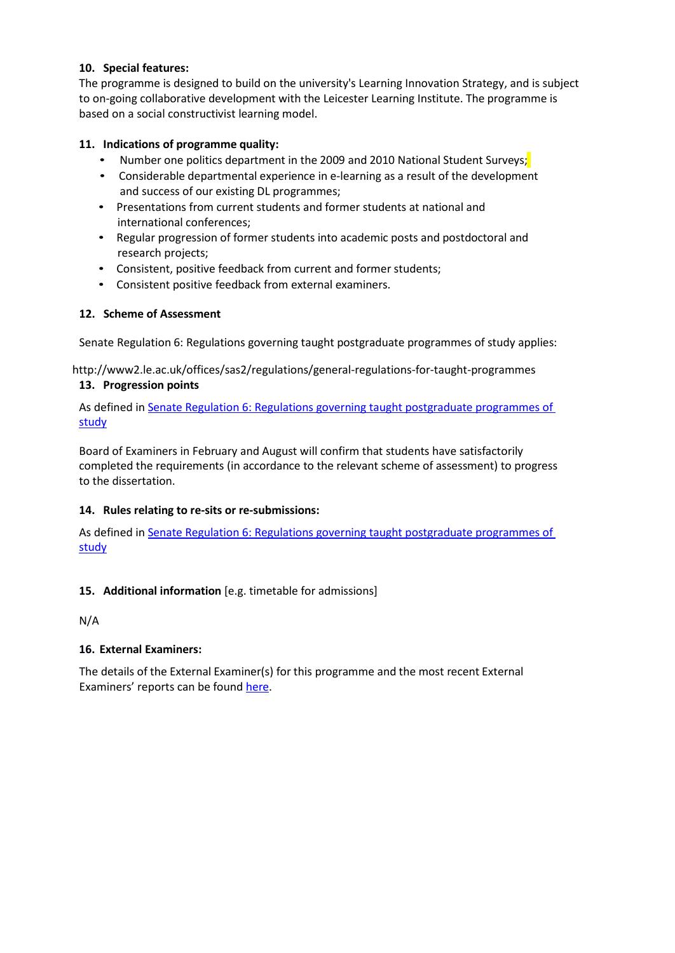# **10. Special features:**

The programme is designed to build on the university's Learning Innovation Strategy, and is subject to on-going collaborative development with the Leicester Learning Institute. The programme is based on a social constructivist learning model.

# **11. Indications of programme quality:**

- Number one politics department in the 2009 and 2010 National Student Surveys;
- Considerable departmental experience in e-learning as a result of the development and success of our existing DL programmes;
- Presentations from current students and former students at national and international conferences;
- Regular progression of former students into academic posts and postdoctoral and research projects;
- Consistent, positive feedback from current and former students;
- Consistent positive feedback from external examiners.

## **12. Scheme of Assessment**

Senate Regulation 6: Regulations governing taught postgraduate programmes of study applies:

http://www2.le.ac.uk/offices/sas2/regulations/general-regulations-for-taught-programmes

## **13. Progression points**

As defined in Senate Regulation 6: [Regulations governing taught](http://www2.le.ac.uk/offices/sas2/regulations/general-regulations-for-taught-programmes) postgraduate programmes of [study](http://www2.le.ac.uk/offices/sas2/regulations/general-regulations-for-taught-programmes)

Board of Examiners in February and August will confirm that students have satisfactorily completed the requirements (in accordance to the relevant scheme of assessment) to progress to the dissertation.

# **14. Rules relating to re-sits or re-submissions:**

As defined in Senate Regulation 6: [Regulations governing taught](http://www2.le.ac.uk/offices/sas2/regulations/general-regulations-for-taught-programmes) postgraduate programmes of [study](http://www2.le.ac.uk/offices/sas2/regulations/general-regulations-for-taught-programmes)

# **15. Additional information** [e.g. timetable for admissions]

N/A

# **16. External Examiners:**

The details of the External Examiner(s) for this programme and the most recent External Examiners' reports can be found [here.](https://exampapers.le.ac.uk/xmlui/handle/123456789/227)